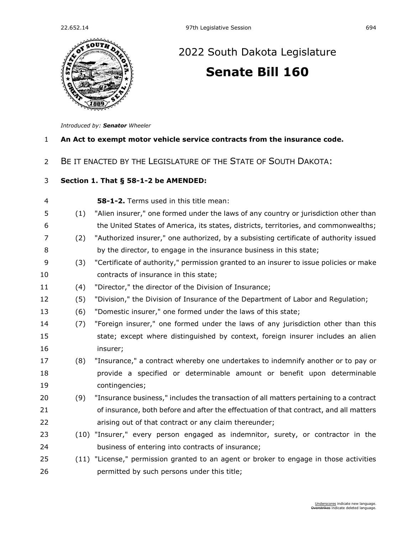

## 22.652.14 97th Legislative Session 694<br>
2022 South Dakota Legislature [2022 South Dakota Legislature](https://sdlegislature.gov/Session/Bills/64) **[Senate Bill 160](https://sdlegislature.gov/Session/Bill/23223)**

*Introduced by: Senator [Wheeler](https://sdlegislature.gov/Legislators/Profile/4010/Detail)*

|                |                                                                           | Introduced by: Senator Wheeler                                                         |  |  |  |  |
|----------------|---------------------------------------------------------------------------|----------------------------------------------------------------------------------------|--|--|--|--|
| $\mathbf{1}$   | An Act to exempt motor vehicle service contracts from the insurance code. |                                                                                        |  |  |  |  |
| $\overline{2}$ | BE IT ENACTED BY THE LEGISLATURE OF THE STATE OF SOUTH DAKOTA:            |                                                                                        |  |  |  |  |
| 3              |                                                                           | Section 1. That § 58-1-2 be AMENDED:                                                   |  |  |  |  |
| 4              |                                                                           | 58-1-2. Terms used in this title mean:                                                 |  |  |  |  |
| 5              | (1)                                                                       | "Alien insurer," one formed under the laws of any country or jurisdiction other than   |  |  |  |  |
| 6              |                                                                           | the United States of America, its states, districts, territories, and commonwealths;   |  |  |  |  |
| 7              | (2)                                                                       | "Authorized insurer," one authorized, by a subsisting certificate of authority issued  |  |  |  |  |
| 8              |                                                                           | by the director, to engage in the insurance business in this state;                    |  |  |  |  |
| 9              | (3)                                                                       | "Certificate of authority," permission granted to an insurer to issue policies or make |  |  |  |  |
| 10             |                                                                           | contracts of insurance in this state;                                                  |  |  |  |  |
| 11             | (4)                                                                       | "Director," the director of the Division of Insurance;                                 |  |  |  |  |
| 12             | (5)                                                                       | "Division," the Division of Insurance of the Department of Labor and Regulation;       |  |  |  |  |
| 13             | (6)                                                                       | "Domestic insurer," one formed under the laws of this state;                           |  |  |  |  |
| 14             | (7)                                                                       | "Foreign insurer," one formed under the laws of any jurisdiction other than this       |  |  |  |  |
| 15             |                                                                           | state; except where distinguished by context, foreign insurer includes an alien        |  |  |  |  |
| 16             |                                                                           | insurer;                                                                               |  |  |  |  |
| 17             | (8)                                                                       | "Insurance," a contract whereby one undertakes to indemnify another or to pay or       |  |  |  |  |
| 18             |                                                                           | provide a specified or determinable amount or benefit upon determinable                |  |  |  |  |
| 19             |                                                                           | contingencies;                                                                         |  |  |  |  |
| 20             | (9)                                                                       | "Insurance business," includes the transaction of all matters pertaining to a contract |  |  |  |  |
| 21             |                                                                           | of insurance, both before and after the effectuation of that contract, and all matters |  |  |  |  |
| 22             |                                                                           | arising out of that contract or any claim thereunder;                                  |  |  |  |  |
| 23             |                                                                           | (10) "Insurer," every person engaged as indemnitor, surety, or contractor in the       |  |  |  |  |
| 24             |                                                                           | business of entering into contracts of insurance;                                      |  |  |  |  |
| 25             |                                                                           | (11) "License," permission granted to an agent or broker to engage in those activities |  |  |  |  |
| 26             |                                                                           | permitted by such persons under this title;                                            |  |  |  |  |
|                |                                                                           |                                                                                        |  |  |  |  |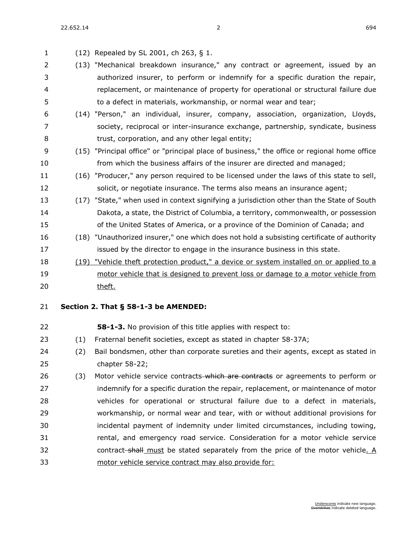22.652.14 2 694

 (12) Repealed by SL 2001, ch 263, § 1. (13) "Mechanical breakdown insurance," any contract or agreement, issued by an authorized insurer, to perform or indemnify for a specific duration the repair, replacement, or maintenance of property for operational or structural failure due to a defect in materials, workmanship, or normal wear and tear; (14) "Person," an individual, insurer, company, association, organization, Lloyds, society, reciprocal or inter-insurance exchange, partnership, syndicate, business **b** trust, corporation, and any other legal entity; (15) "Principal office" or "principal place of business," the office or regional home office from which the business affairs of the insurer are directed and managed; (16) "Producer," any person required to be licensed under the laws of this state to sell, solicit, or negotiate insurance. The terms also means an insurance agent; (17) "State," when used in context signifying a jurisdiction other than the State of South Dakota, a state, the District of Columbia, a territory, commonwealth, or possession of the United States of America, or a province of the Dominion of Canada; and (18) "Unauthorized insurer," one which does not hold a subsisting certificate of authority issued by the director to engage in the insurance business in this state. (19) "Vehicle theft protection product," a device or system installed on or applied to a motor vehicle that is designed to prevent loss or damage to a motor vehicle from theft. **Section 2. [That § 58-1-3 be AMENDED:](https://sdlegislature.gov/Statutes?Statute=58-1-3) [58-1-3.](https://sdlegislature.gov/Statutes/Codified_Laws/DisplayStatute.aspx?Type=Statute&Statute=58-1-3)** No provision of this title applies with respect to: (1) Fraternal benefit societies, except as stated in chapter [58-37A;](https://sdlegislature.gov/Statutes/Codified_Laws/DisplayStatute.aspx?Type=Statute&Statute=58-37A)

- (2) Bail bondsmen, other than corporate sureties and their agents, except as stated in chapter [58-22;](https://sdlegislature.gov/Statutes/Codified_Laws/DisplayStatute.aspx?Type=Statute&Statute=58-22)
- 26 (3) Motor vehicle service contracts which are contracts or agreements to perform or indemnify for a specific duration the repair, replacement, or maintenance of motor vehicles for operational or structural failure due to a defect in materials, workmanship, or normal wear and tear, with or without additional provisions for incidental payment of indemnity under limited circumstances, including towing, rental, and emergency road service. Consideration for a motor vehicle service 32 contract shall must be stated separately from the price of the motor vehicle. A motor vehicle service contract may also provide for: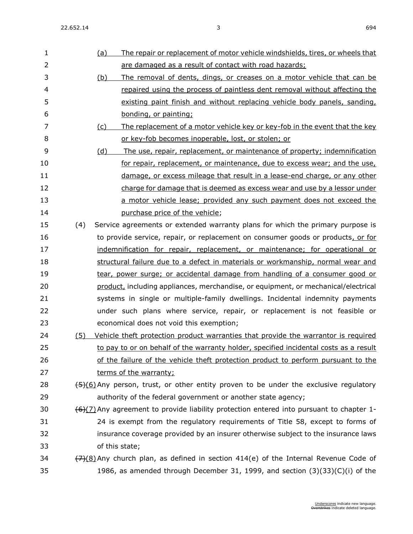| I<br>۰.<br>×<br>۰.<br>۰.<br>w |  |
|-------------------------------|--|
|-------------------------------|--|

| $\mathbf{1}$   |     | <u>(a)</u>     | The repair or replacement of motor vehicle windshields, tires, or wheels that                                |
|----------------|-----|----------------|--------------------------------------------------------------------------------------------------------------|
| $\overline{2}$ |     |                | are damaged as a result of contact with road hazards;                                                        |
| 3              |     | <u>(b)</u>     | The removal of dents, dings, or creases on a motor vehicle that can be                                       |
| $\overline{4}$ |     |                | repaired using the process of paintless dent removal without affecting the                                   |
| 5              |     |                | existing paint finish and without replacing vehicle body panels, sanding,                                    |
| 6              |     |                | bonding, or painting;                                                                                        |
| 7              |     | <u>(c)</u>     | The replacement of a motor vehicle key or key-fob in the event that the key                                  |
| 8              |     |                | or key-fob becomes inoperable, lost, or stolen; or                                                           |
| 9              |     | (d)            | The use, repair, replacement, or maintenance of property; indemnification                                    |
| 10             |     |                | for repair, replacement, or maintenance, due to excess wear; and the use,                                    |
| 11             |     |                | damage, or excess mileage that result in a lease-end charge, or any other                                    |
| 12             |     |                | charge for damage that is deemed as excess wear and use by a lessor under                                    |
| 13             |     |                | a motor vehicle lease; provided any such payment does not exceed the                                         |
| 14             |     |                | purchase price of the vehicle;                                                                               |
| 15             | (4) |                | Service agreements or extended warranty plans for which the primary purpose is                               |
| 16             |     |                | to provide service, repair, or replacement on consumer goods or products, or for                             |
| 17             |     |                | indemnification for repair, replacement, or maintenance; for operational or                                  |
| 18             |     |                | structural failure due to a defect in materials or workmanship, normal wear and                              |
| 19             |     |                | tear, power surge; or accidental damage from handling of a consumer good or                                  |
| 20             |     |                | product, including appliances, merchandise, or equipment, or mechanical/electrical                           |
| 21             |     |                | systems in single or multiple-family dwellings. Incidental indemnity payments                                |
| 22             |     |                | under such plans where service, repair, or replacement is not feasible or                                    |
| 23             |     |                | economical does not void this exemption;                                                                     |
| 24             | (5) |                | Vehicle theft protection product warranties that provide the warrantor is required                           |
| 25             |     |                | to pay to or on behalf of the warranty holder, specified incidental costs as a result                        |
| 26             |     |                | of the failure of the vehicle theft protection product to perform pursuant to the                            |
| 27             |     |                | terms of the warranty;                                                                                       |
| 28             |     |                | $\frac{(5)(6)}{2}$ Any person, trust, or other entity proven to be under the exclusive regulatory            |
| 29             |     |                | authority of the federal government or another state agency;                                                 |
| 30             |     |                | $\left(\frac{6}{2}\right)$ Any agreement to provide liability protection entered into pursuant to chapter 1- |
| 31             |     |                | 24 is exempt from the regulatory requirements of Title 58, except to forms of                                |
| 32             |     |                | insurance coverage provided by an insurer otherwise subject to the insurance laws                            |
| 33             |     | of this state; |                                                                                                              |
| 34             |     |                | $(7)(8)$ Any church plan, as defined in section 414(e) of the Internal Revenue Code of                       |
| 35             |     |                | 1986, as amended through December 31, 1999, and section $(3)(33)(C)(i)$ of the                               |